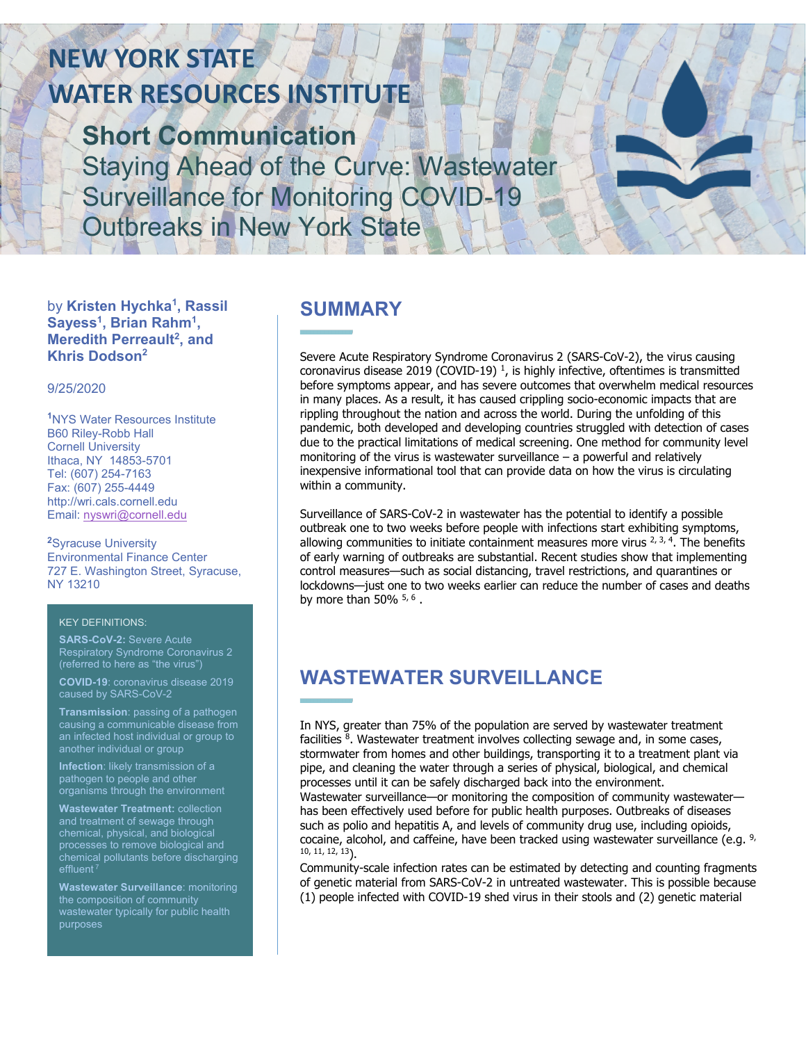# **NEW YORK STATE WATER RESOURCES INSTITUTE**

**Short Communication** Staying Ahead of the Curve: Wastewater Surveillance for Monitoring COVID-19 Outbreaks in New York State

by **Kristen Hychka<sup>1</sup> , Rassil Sayess1 , Brian Rahm<sup>1</sup> , Meredith Perreault 2 , and Khris Dodson<sup>2</sup>**

#### 9/25/2020

**<sup>1</sup>**NYS Water Resources Institute B60 Riley-Robb Hall Cornell University Ithaca, NY 14853-5701 Tel: (607) 254-7163 Fax: (607) 255-4449 http://wri.cals.cornell.edu Email: [nyswri@cornell.edu](mailto:nyswri@cornell.edu)

**<sup>2</sup>**Syracuse University Environmental Finance Center 727 E. Washington Street, Syracuse, NY 13210

#### KEY DEFINITIONS:

**SARS-CoV-2:** Severe Acute Respiratory Syndrome Coronavirus 2 (referred to here as "the virus")

**COVID-19**: coronavirus disease 2019 caused by SARS-CoV-2

**Transmission**: passing of a pathogen causing a communicable disease from an infected host individual or group to another individual or group

**Infection**: likely transmission of a organisms through the environment

**Wastewater Treatment:** collection and treatment of sewage through chemical, physical, and biological processes to remove biological and chemical pollutants before discharging effluent

**Wastewater Surveillance**: monitoring the composition of community wastewater typically for public health purposes

#### **SUMMARY**

Severe Acute Respiratory Syndrome Coronavirus 2 (SARS-CoV-2), the virus causing coronavirus disease 2019 (COVID-19)<sup>1</sup>, is highly infective, oftentimes is transmitted before symptoms appear, and has severe outcomes that overwhelm medical resources in many places. As a result, it has caused crippling socio-economic impacts that are rippling throughout the nation and across the world. During the unfolding of this pandemic, both developed and developing countries struggled with detection of cases due to the practical limitations of medical screening. One method for community level monitoring of the virus is wastewater surveillance – a powerful and relatively inexpensive informational tool that can provide data on how the virus is circulating within a community.

Surveillance of SARS-CoV-2 in wastewater has the potential to identify a possible outbreak one to two weeks before people with infections start exhibiting symptoms, allowing communities to initiate containment measures more virus  $2, 3, 4$ . The benefits of early warning of outbreaks are substantial. Recent studies show that implementing control measures—such as social distancing, travel restrictions, and quarantines or lockdowns—just one to two weeks earlier can reduce the number of cases and deaths by more than 50%  $5,6$ .

### **WASTEWATER SURVEILLANCE**

In NYS, greater than 75% of the population are served by wastewater treatment facilities <sup>8</sup>. Wastewater treatment involves collecting sewage and, in some cases, stormwater from homes and other buildings, transporting it to a treatment plant via pipe, and cleaning the water through a series of physical, biological, and chemical processes until it can be safely discharged back into the environment. Wastewater surveillance—or monitoring the composition of community wastewater has been effectively used before for public health purposes. Outbreaks of diseases such as polio and hepatitis A, and levels of community drug use, including opioids, cocaine, alcohol, and caffeine, have been tracked using wastewater surveillance (e.g. 9, 10, 11, 12, 13).

Community-scale infection rates can be estimated by detecting and counting fragments of genetic material from SARS-CoV-2 in untreated wastewater. This is possible because (1) people infected with COVID-19 shed virus in their stools and (2) genetic material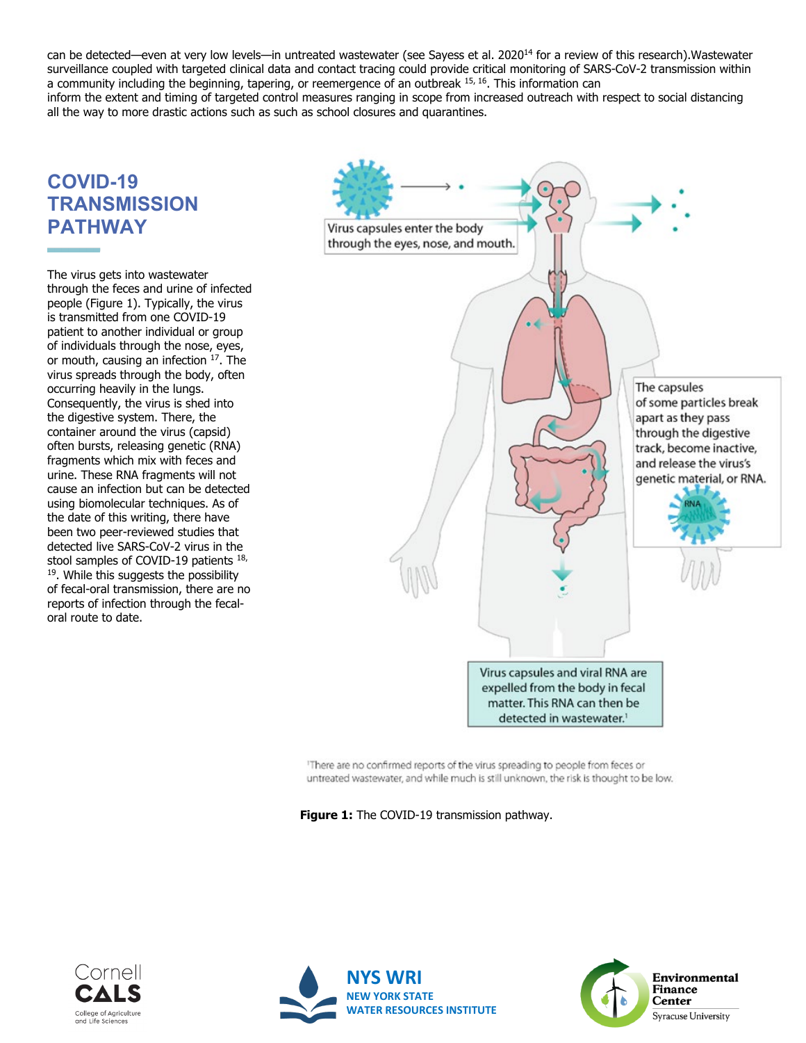can be detected—even at very low levels—in untreated wastewater (see Sayess et al. 2020<sup>14</sup> for a review of this research).Wastewater surveillance coupled with targeted clinical data and contact tracing could provide critical monitoring of SARS-CoV-2 transmission within a community including the beginning, tapering, or reemergence of an outbreak <sup>15, 16</sup>. This information can inform the extent and timing of targeted control measures ranging in scope from increased outreach with respect to social distancing all the way to more drastic actions such as such as school closures and quarantines.

### **COVID-19 TRANSMISSION PATHWAY**

The virus gets into wastewater through the feces and urine of infected people (Figure 1). Typically, the virus is transmitted from one COVID-19 patient to another individual or group of individuals through the nose, eyes, or mouth, causing an infection <sup>17</sup>. The virus spreads through the body, often occurring heavily in the lungs. Consequently, the virus is shed into the digestive system. There, the container around the virus (capsid) often bursts, releasing genetic (RNA) fragments which mix with feces and urine. These RNA fragments will not cause an infection but can be detected using biomolecular techniques. As of the date of this writing, there have been two peer-reviewed studies that detected live SARS-CoV-2 virus in the stool samples of COVID-19 patients 18, <sup>19</sup>. While this suggests the possibility of fecal-oral transmission, there are no reports of infection through the fecaloral route to date.



'There are no confirmed reports of the virus spreading to people from feces or untreated wastewater, and while much is still unknown, the risk is thought to be low.

**Figure 1:** The COVID-19 transmission pathway.





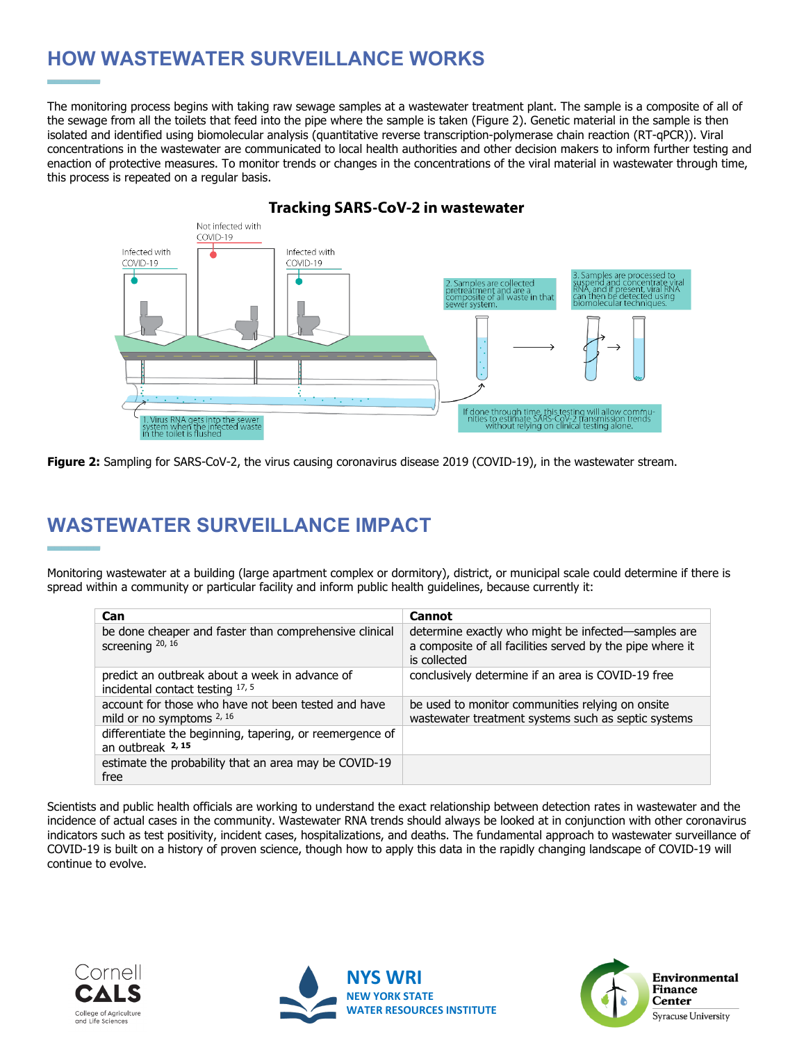## **HOW WASTEWATER SURVEILLANCE WORKS**

The monitoring process begins with taking raw sewage samples at a wastewater treatment plant. The sample is a composite of all of the sewage from all the toilets that feed into the pipe where the sample is taken (Figure 2). Genetic material in the sample is then isolated and identified using biomolecular analysis (quantitative reverse transcription-polymerase chain reaction (RT-qPCR)). Viral concentrations in the wastewater are communicated to local health authorities and other decision makers to inform further testing and enaction of protective measures. To monitor trends or changes in the concentrations of the viral material in wastewater through time, this process is repeated on a regular basis.



**Figure 2:** Sampling for SARS-CoV-2, the virus causing coronavirus disease 2019 (COVID-19), in the wastewater stream.

## **WASTEWATER SURVEILLANCE IMPACT**

Monitoring wastewater at a building (large apartment complex or dormitory), district, or municipal scale could determine if there is spread within a community or particular facility and inform public health guidelines, because currently it:

| <b>Can</b>                                                                         | Cannot                                                                                                                           |
|------------------------------------------------------------------------------------|----------------------------------------------------------------------------------------------------------------------------------|
| be done cheaper and faster than comprehensive clinical<br>screening 20, 16         | determine exactly who might be infected—samples are<br>a composite of all facilities served by the pipe where it<br>is collected |
| predict an outbreak about a week in advance of<br>incidental contact testing 17, 5 | conclusively determine if an area is COVID-19 free                                                                               |
| account for those who have not been tested and have<br>mild or no symptoms $2, 16$ | be used to monitor communities relying on onsite<br>wastewater treatment systems such as septic systems                          |
| differentiate the beginning, tapering, or reemergence of<br>an outbreak $2, 15$    |                                                                                                                                  |
| estimate the probability that an area may be COVID-19<br>free                      |                                                                                                                                  |

Scientists and public health officials are working to understand the exact relationship between detection rates in wastewater and the incidence of actual cases in the community. Wastewater RNA trends should always be looked at in conjunction with other coronavirus indicators such as test positivity, incident cases, hospitalizations, and deaths. The fundamental approach to wastewater surveillance of COVID-19 is built on a history of proven science, though how to apply this data in the rapidly changing landscape of COVID-19 will continue to evolve.